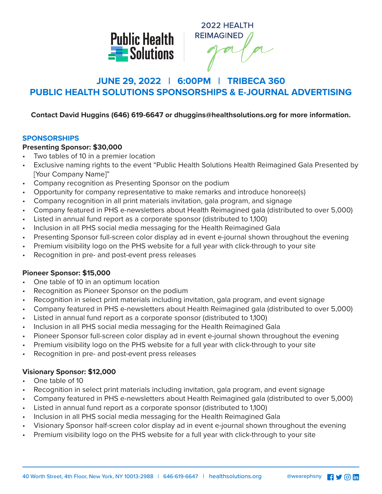

2022 HEALTH **REIMAGINED** 

# **JUNE 29, 2022 | 6:00PM | TRIBECA 360 PUBLIC HEALTH SOLUTIONS SPONSORSHIPS & E-JOURNAL ADVERTISING**

## **Contact David Huggins (646) 619-6647 or dhuggins@healthsolutions.org for more information.**

#### **SPONSORSHIPS**

## **Presenting Sponsor: \$30,000**

- Two tables of 10 in a premier location
- Exclusive naming rights to the event "Public Health Solutions Health Reimagined Gala Presented by [Your Company Name]"
- Company recognition as Presenting Sponsor on the podium
- Opportunity for company representative to make remarks and introduce honoree(s)
- Company recognition in all print materials invitation, gala program, and signage
- Company featured in PHS e-newsletters about Health Reimagined gala (distributed to over 5,000)
- Listed in annual fund report as a corporate sponsor (distributed to 1,100)
- Inclusion in all PHS social media messaging for the Health Reimagined Gala
- Presenting Sponsor full-screen color display ad in event e-journal shown throughout the evening
- Premium visibility logo on the PHS website for a full year with click-through to your site
- Recognition in pre- and post-event press releases

## **Pioneer Sponsor: \$15,000**

- One table of 10 in an optimum location
- Recognition as Pioneer Sponsor on the podium
- Recognition in select print materials including invitation, gala program, and event signage
- Company featured in PHS e-newsletters about Health Reimagined gala (distributed to over 5,000)
- Listed in annual fund report as a corporate sponsor (distributed to 1,100)
- Inclusion in all PHS social media messaging for the Health Reimagined Gala
- Pioneer Sponsor full-screen color display ad in event e-journal shown throughout the evening
- Premium visibility logo on the PHS website for a full year with click-through to your site
- Recognition in pre- and post-event press releases

## **Visionary Sponsor: \$12,000**

- One table of 10
- Recognition in select print materials including invitation, gala program, and event signage
- Company featured in PHS e-newsletters about Health Reimagined gala (distributed to over 5,000)
- Listed in annual fund report as a corporate sponsor (distributed to 1,100)
- Inclusion in all PHS social media messaging for the Health Reimagined Gala
- Visionary Sponsor half-screen color display ad in event e-journal shown throughout the evening
- Premium visibility logo on the PHS website for a full year with click-through to your site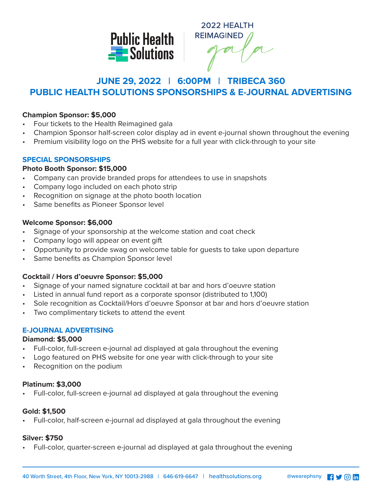

2022 HEALTH **REIMAGINED** 

## **JUNE 29, 2022 | 6:00PM | TRIBECA 360 PUBLIC HEALTH SOLUTIONS SPONSORSHIPS & E-JOURNAL ADVERTISING**

#### **Champion Sponsor: \$5,000**

- Four tickets to the Health Reimagined gala
- Champion Sponsor half-screen color display ad in event e-journal shown throughout the evening
- Premium visibility logo on the PHS website for a full year with click-through to your site

## **SPECIAL SPONSORSHIPS**

#### **Photo Booth Sponsor: \$15,000**

- Company can provide branded props for attendees to use in snapshots
- Company logo included on each photo strip
- Recognition on signage at the photo booth location
- Same benefits as Pioneer Sponsor level

#### **Welcome Sponsor: \$6,000**

- Signage of your sponsorship at the welcome station and coat check
- Company logo will appear on event gift
- Opportunity to provide swag on welcome table for guests to take upon departure
- Same benefits as Champion Sponsor level

## **Cocktail / Hors d'oeuvre Sponsor: \$5,000**

- Signage of your named signature cocktail at bar and hors d'oeuvre station
- Listed in annual fund report as a corporate sponsor (distributed to 1,100)
- Sole recognition as Cocktail/Hors d'oeuvre Sponsor at bar and hors d'oeuvre station
- Two complimentary tickets to attend the event

## **E-JOURNAL ADVERTISING**

#### **Diamond: \$5,000**

- Full-color, full-screen e-journal ad displayed at gala throughout the evening
- Logo featured on PHS website for one year with click-through to your site
- Recognition on the podium

## **Platinum: \$3,000**

• Full-color, full-screen e-journal ad displayed at gala throughout the evening

## **Gold: \$1,500**

• Full-color, half-screen e-journal ad displayed at gala throughout the evening

#### **Silver: \$750**

• Full-color, quarter-screen e-journal ad displayed at gala throughout the evening